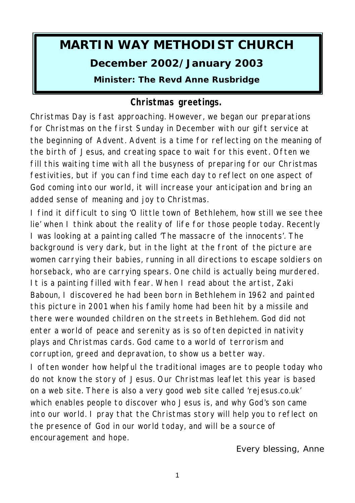# **MARTIN WAY METHODIST CHURCH December 2002/January 2003 Minister: The Revd Anne Rusbridge**

# **Christmas greetings.**

Christmas Day is fast approaching. However, we began our preparations for Christmas on the first Sunday in December with our gift service at the beginning of Advent. Advent is a time for reflecting on the meaning of the birth of Jesus, and creating space to wait for this event. Often we fill this waiting time with all the busyness of preparing for our Christmas festivities, but if you can find time each day to reflect on one aspect of God coming into our world, it will increase your anticipation and bring an added sense of meaning and joy to Christmas.

I find it difficult to sing 'O little town of Bethlehem, how still we see thee lie' when I think about the reality of life for those people today. Recently I was looking at a painting called 'The massacre of the innocents'. The background is very dark, but in the light at the front of the picture are women carrying their babies, running in all directions to escape soldiers on horseback, who are carrying spears. One child is actually being murdered. It is a painting filled with fear. When I read about the artist, Zaki Baboun, I discovered he had been born in Bethlehem in 1962 and painted this picture in 2001 when his family home had been hit by a missile and there were wounded children on the streets in Bethlehem. God did not enter a world of peace and serenity as is so often depicted in nativity plays and Christmas cards. God came to a world of terrorism and corruption, greed and depravation, to show us a better way.

I often wonder how helpful the traditional images are to people today who do not know the story of Jesus. Our Christmas leaflet this year is based on a web site. There is also a very good web site called 'rejesus.co.uk' which enables people to discover who Jesus is, and why God's son came into our world. I pray that the Christmas story will help you to reflect on the presence of God in our world today, and will be a source of encouragement and hope.

*Every blessing, Anne*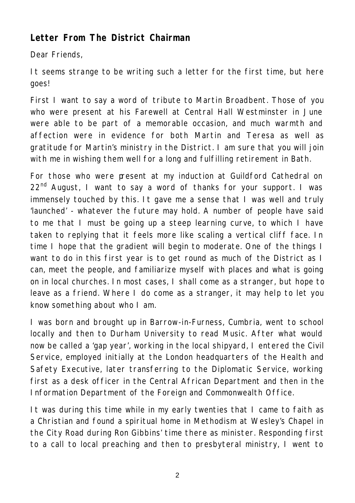# **Letter From The District Chairman**

Dear Friends,

It seems strange to be writing such a letter for the first time, but here goes!

First I want to say a word of tribute to Martin Broadbent. Those of you who were present at his Farewell at Central Hall Westminster in June were able to be part of a memorable occasion, and much warmth and affection were in evidence for both Martin and Teresa as well as gratitude for Martin's ministry in the District. I am sure that you will join with me in wishing them well for a long and fulfilling retirement in Bath.

For those who were present at my induction at Guildford Cathedral on  $22<sup>nd</sup>$  August, I want to say a word of thanks for your support. I was immensely touched by this. It gave me a sense that I was well and truly 'launched' - whatever the future may hold. A number of people have said to me that I must be going up a steep learning curve, to which I have taken to replying that it feels more like scaling a vertical cliff face. In time I hope that the gradient will begin to moderate. One of the things I want to do in this first year is to get round as much of the District as I can, meet the people, and familiarize myself with places and what is going on in local churches. In most cases, I shall come as a stranger, but hope to leave as a friend. Where I do come as a stranger, it may help to let you know something about who I am.

I was born and brought up in Barrow-in-Furness, Cumbria, went to school locally and then to Durham University to read Music. After what would now be called a 'gap year', working in the local shipyard, I entered the Civil Service, employed initially at the London headquarters of the Health and Safety Executive, later transferring to the Diplomatic Service, working first as a desk officer in the Central African Department and then in the Information Department of the Foreign and Commonwealth Office.

It was during this time while in my early twenties that I came to faith as a Christian and found a spiritual home in Methodism at Wesley's Chapel in the City Road during Ron Gibbins' time there as minister. Responding first to a call to local preaching and then to presbyteral ministry, I went to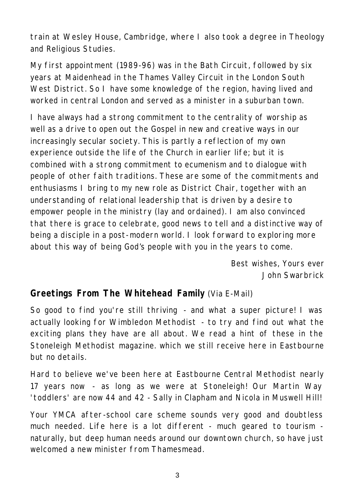train at Wesley House, Cambridge, where I also took a degree in Theology and Religious Studies.

My first appointment (1989-96) was in the Bath Circuit, followed by six years at Maidenhead in the Thames Valley Circuit in the London South West District. So I have some knowledge of the region, having lived and worked in central London and served as a minister in a suburban town.

I have always had a strong commitment to the centrality of worship as well as a drive to open out the Gospel in new and creative ways in our increasingly secular society. This is partly a reflection of my own experience outside the life of the Church in earlier life; but it is combined with a strong commitment to ecumenism and to dialogue with people of other faith traditions. These are some of the commitments and enthusiasms I bring to my new role as District Chair, together with an understanding of relational leadership that is driven by a desire to empower people in the ministry (lay and ordained). I am also convinced that there is grace to celebrate, good news to tell and a distinctive way of being a disciple in a post-modern world. I look forward to exploring more about this way of being God's people with you in the years to come.

> *Best wishes, Yours ever John Swarbrick*

#### **Greetings From The Whitehead Family** (Via E-Mail)

So good to find you're still thriving - and what a super picture! I was actually looking for Wimbledon Methodist - to try and find out what the exciting plans they have are all about. We read a hint of these in the Stoneleigh Methodist magazine. which we still receive here in Eastbourne but no details.

Hard to believe we've been here at Eastbourne Central Methodist nearly 17 years now - as long as we were at Stoneleigh! Our Martin Way 'toddlers' are now 44 and 42 - Sally in Clapham and Nicola in Muswell Hill!

Your YMCA after-school care scheme sounds very good and doubtless much needed. Life here is a lot different - much geared to tourism naturally, but deep human needs around our downtown church, so have just welcomed a new minister from Thamesmead.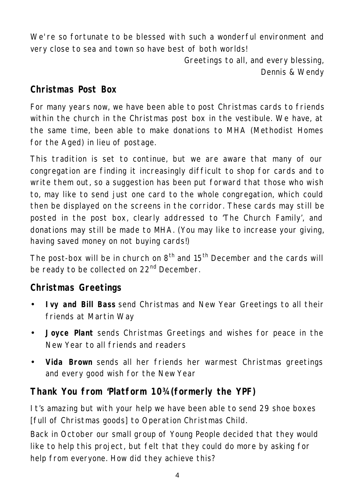We're so fortunate to be blessed with such a wonderful environment and very close to sea and town so have best of both worlds!

> *Greetings to all, and every blessing, Dennis & Wendy*

## **Christmas Post Box**

For many years now, we have been able to post Christmas cards to friends within the church in the Christmas post box in the vestibule. We have, at the same time, been able to make donations to MHA (Methodist Homes for the Aged) in lieu of postage.

This tradition is set to continue, but we are aware that many of our congregation are finding it increasingly difficult to shop for cards and to write them out, so a suggestion has been put forward that those who wish to, may like to send just one card to the whole congregation, which could then be displayed on the screens in the corridor. These cards may still be posted in the post box, clearly addressed to 'The Church Family', and donations may still be made to MHA. (You may like to increase your giving, having saved money on not buying cards!)

The post-box will be in church on  $8<sup>th</sup>$  and  $15<sup>th</sup>$  December and the cards will be ready to be collected on 22<sup>nd</sup> December.

# **Christmas Greetings**

- **Ivy and Bill Bass** send Christmas and New Year Greetings to all their friends at Martin Way
- **Joyce Plant** sends Christmas Greetings and wishes for peace in the New Year to all friends and readers
- **Vida Brown** sends all her friends her warmest Christmas greetings and every good wish for the New Year

# **Thank You from 'Platform 10¾ (formerly the YPF)**

It's amazing but with your help we have been able to send 29 shoe boxes [full of Christmas goods] to Operation Christmas Child.

Back in October our small group of Young People decided that they would like to help this project, but felt that they could do more by asking for help from everyone. How did they achieve this?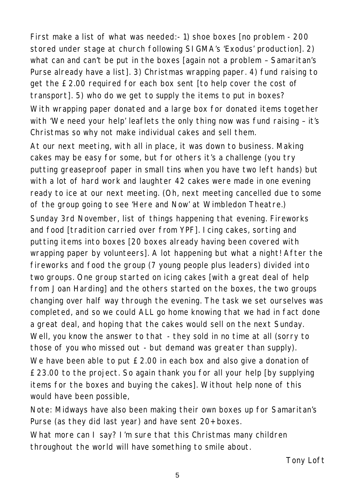First make a list of what was needed:- 1) shoe boxes [no problem - 200 stored under stage at church following SIGMA's 'Exodus' production]. 2) what can and can't be put in the boxes [again not a problem – Samaritan's Purse already have a list]. 3) Christmas wrapping paper. 4) fund raising to get the £2.00 required for each box sent [to help cover the cost of transport]. 5) who do we get to supply the items to put in boxes? With wrapping paper donated and a large box for donated items together with 'We need your help' leaflets the only thing now was fund raising - it's Christmas so why not make individual cakes and sell them.

At our next meeting, with all in place, it was down to business. Making cakes may be easy for some, but for others it's a challenge (you try putting greaseproof paper in small tins when you have two left hands) but with a lot of hard work and laughter 42 cakes were made in one evening ready to ice at our next meeting. (Oh, next meeting cancelled due to some of the group going to see 'Here and Now' at Wimbledon Theatre.)

Sunday 3rd November, list of things happening that evening. Fireworks and food [tradition carried over from YPF]. Icing cakes, sorting and putting items into boxes [20 boxes already having been covered with wrapping paper by volunteers]. A lot happening but what a night! After the fireworks and food the group (7 young people plus leaders) divided into two groups. One group started on icing cakes [with a great deal of help from Joan Harding] and the others started on the boxes, the two groups changing over half way through the evening. The task we set ourselves was completed, and so we could ALL go home knowing that we had in fact done a great deal, and hoping that the cakes would sell on the next Sunday. Well, you know the answer to that - they sold in no time at all (sorry to those of you who missed out - but demand was greater than supply). We have been able to put £2.00 in each box and also give a donation of £23.00 to the project. So again thank you for all your help [by supplying items for the boxes and buying the cakes]. Without help none of this would have been possible,

Note: Midways have also been making their own boxes up for Samaritan's Purse (as they did last year) and have sent 20+ boxes.

What more can I say? I'm sure that this Christmas many children throughout the world will have something to smile about.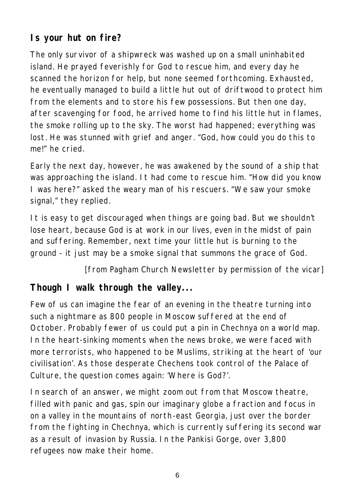# **Is your hut on fire?**

The only survivor of a shipwreck was washed up on a small uninhabited island. He prayed feverishly for God to rescue him, and every day he scanned the horizon for help, but none seemed forthcoming. Exhausted, he eventually managed to build a little hut out of driftwood to protect him from the elements and to store his few possessions. But then one day, after scavenging for food, he arrived home to find his little hut in flames, the smoke rolling up to the sky. The worst had happened; everything was lost. He was stunned with grief and anger. "God, how could you do this to me!" he cried.

Early the next day, however, he was awakened by the sound of a ship that was approaching the island. It had come to rescue him. "How did you know I was here?" asked the weary man of his rescuers. "We saw your smoke signal," they replied.

It is easy to get discouraged when things are going bad. But we shouldn't lose heart, because God is at work in our lives, even in the midst of pain and suffering. Remember, next time your little hut is burning to the ground - it just may be a smoke signal that summons the grace of God.

#### *[from Pagham Church Newsletter by permission of the vicar]*

# **Though I walk through the valley...**

Few of us can imagine the fear of an evening in the theatre turning into such a nightmare as 800 people in Moscow suffered at the end of October. Probably fewer of us could put a pin in Chechnya on a world map. In the heart-sinking moments when the news broke, we were faced with more terrorists, who happened to be Muslims, striking at the heart of 'our civilisation'. As those desperate Chechens took control of the Palace of Culture, the question comes again: 'Where is God?'.

In search of an answer, we might zoom out from that Moscow theatre, filled with panic and gas, spin our imaginary globe a fraction and focus in on a valley in the mountains of north-east Georgia, just over the border from the fighting in Chechnya, which is currently suffering its second war as a result of invasion by Russia. In the Pankisi Gorge, over 3,800 refugees now make their home.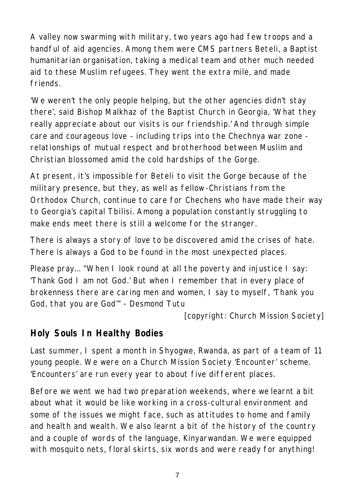A valley now swarming with military, two years ago had few troops and a handful of aid agencies. Among them were CMS partners Beteli, a Baptist humanitarian organisation, taking a medical team and other much needed aid to these Muslim refugees. They went the extra mile, and made friends.

'We weren't the only people helping, but the other agencies didn't stay there', said Bishop Malkhaz of the Baptist Church in Georgia, 'What they really appreciate about our visits is our friendship.' And through simple care and courageous love - including trips into the Chechnya war zone relationships of mutual respect and brotherhood between Muslim and Christian blossomed amid the cold hardships of the Gorge.

At present, it's impossible for Beteli to visit the Gorge because of the military presence, but they, as well as fellow-Christians from the Orthodox Church, continue to care for Chechens who have made their way to Georgia's capital Tbilisi. Among a population constantly struggling to make ends meet there is still a welcome for the stranger.

There is always a story of love to be discovered amid the crises of hate. There is always a God to be found in the most unexpected places.

Please pray... "When I look round at all the poverty and injustice I say: 'Thank God I am not God.' But when I remember that in every place of brokenness there are caring men and women, I say to myself, 'Thank you God, that you are God'" - Desmond Tutu

*[copyright: Church Mission Society]*

# **Holy Souls In Healthy Bodies**

Last summer, I spent a month in Shyogwe, Rwanda, as part of a team of 11 young people. We were on a Church Mission Society 'Encounter' scheme. 'Encounters' are run every year to about five different places.

Before we went we had two preparation weekends, where we learnt a bit about what it would be like working in a cross-cultural environment and some of the issues we might face, such as attitudes to home and family and health and wealth. We also learnt a bit of the history of the country and a couple of words of the language, Kinyarwandan. We were equipped with mosquito nets, floral skirts, six words and were ready for anything!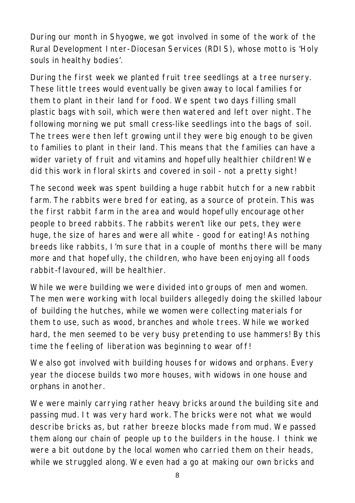During our month in Shyogwe, we got involved in some of the work of the Rural Development Inter-Diocesan Services (RDIS), whose motto is 'Holy souls in healthy bodies'.

During the first week we planted fruit tree seedlings at a tree nursery. These little trees would eventually be given away to local families for them to plant in their land for food. We spent two days filling small plastic bags with soil, which were then watered and left over night. The following morning we put small cress-like seedlings into the bags of soil. The trees were then left growing until they were big enough to be given to families to plant in their land. This means that the families can have a wider variety of fruit and vitamins and hopefully healthier children! We did this work in floral skirts and covered in soil - not a pretty sight!

The second week was spent building a huge rabbit hutch for a new rabbit farm. The rabbits were bred for eating, as a source of protein. This was the first rabbit farm in the area and would hopefully encourage other people to breed rabbits. The rabbits weren't like our pets, they were huge, the size of hares and were all white - good for eating! As nothing breeds like rabbits, I'm sure that in a couple of months there will be many more and that hopefully, the children, who have been enjoying all foods rabbit-flavoured, will be healthier.

While we were building we were divided into groups of men and women. The men were working with local builders allegedly doing the skilled labour of building the hutches, while we women were collecting materials for them to use, such as wood, branches and whole trees. While we worked hard, the men seemed to be very busy pretending to use hammers! By this time the feeling of liberation was beginning to wear off!

We also got involved with building houses for widows and orphans. Every year the diocese builds two more houses, with widows in one house and orphans in another.

We were mainly carrying rather heavy bricks around the building site and passing mud. It was very hard work. The bricks were not what we would describe bricks as, but rather breeze blocks made from mud. We passed them along our chain of people up to the builders in the house. I think we were a bit outdone by the local women who carried them on their heads, while we struggled along. We even had a go at making our own bricks and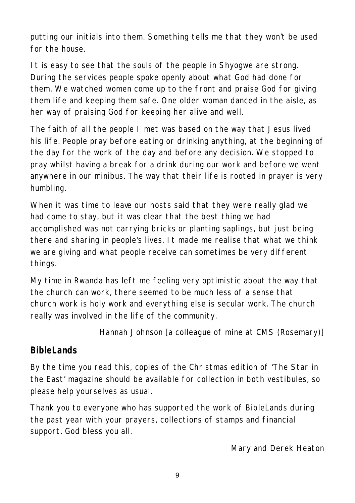putting our initials into them. Something tells me that they won't be used for the house.

It is easy to see that the souls of the people in Shyogwe are strong. During the services people spoke openly about what God had done for them. We watched women come up to the front and praise God for giving them life and keeping them safe. One older woman danced in the aisle, as her way of praising God for keeping her alive and well.

The faith of all the people I met was based on the way that Jesus lived his life. People pray before eating or drinking anything, at the beginning of the day for the work of the day and before any decision. We stopped to pray whilst having a break for a drink during our work and before we went anywhere in our minibus. The way that their life is rooted in prayer is very humbling.

When it was time to leave our hosts said that they were really glad we had come to stay, but it was clear that the best thing we had accomplished was not carrying bricks or planting saplings, but just being there and sharing in people's lives. It made me realise that what we think we are giving and what people receive can sometimes be very different things.

My time in Rwanda has left me feeling very optimistic about the way that the church can work, there seemed to be much less of a sense that church work is holy work and everything else is secular work. The church really was involved in the life of the community.

*Hannah Johnson [a colleague of mine at CMS (Rosemary)]*

# **BibleLands**

By the time you read this, copies of the Christmas edition of 'The Star in the East' magazine should be available for collection in both vestibules, so please help yourselves as usual.

Thank you to everyone who has supported the work of BibleLands during the past year with your prayers, collections of stamps and financial support. God bless you all.

*Mary and Derek Heaton*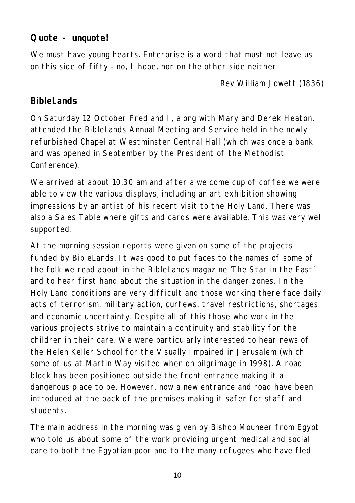#### **Quote - unquote!**

We must have young hearts. Enterprise is a word that must not leave us on this side of fifty - no, I hope, nor on the other side neither

*Rev William Jowett (1836)*

### **BibleLands**

On Saturday 12 October Fred and I, along with Mary and Derek Heaton, attended the BibleLands Annual Meeting and Service held in the newly refurbished Chapel at Westminster Central Hall (which was once a bank and was opened in September by the President of the Methodist Conference).

We arrived at about 10.30 am and after a welcome cup of coffee we were able to view the various displays, including an art exhibition showing impressions by an artist of his recent visit to the Holy Land. There was also a Sales Table where gifts and cards were available. This was very well supported.

At the morning session reports were given on some of the projects funded by BibleLands. It was good to put faces to the names of some of the folk we read about in the BibleLands magazine 'The Star in the East' and to hear first hand about the situation in the danger zones. In the Holy Land conditions are very difficult and those working there face daily acts of terrorism, military action, curfews, travel restrictions, shortages and economic uncertainty. Despite all of this those who work in the various projects strive to maintain a continuity and stability for the children in their care. We were particularly interested to hear news of the Helen Keller School for the Visually Impaired in Jerusalem (which some of us at Martin Way visited when on pilgrimage in 1998). A road block has been positioned outside the front entrance making it a dangerous place to be. However, now a new entrance and road have been introduced at the back of the premises making it safer for staff and students.

The main address in the morning was given by Bishop Mouneer from Egypt who told us about some of the work providing urgent medical and social care to both the Egyptian poor and to the many refugees who have fled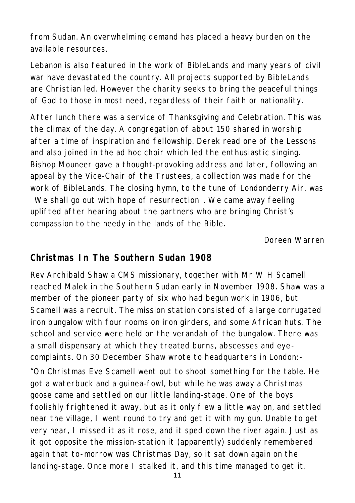from Sudan. An overwhelming demand has placed a heavy burden on the available resources.

Lebanon is also featured in the work of BibleLands and many years of civil war have devastated the country. All projects supported by BibleLands are Christian led. However the charity seeks to bring the peaceful things of God to those in most need, regardless of their faith or nationality.

After lunch there was a service of Thanksgiving and Celebration. This was the climax of the day. A congregation of about 150 shared in worship after a time of inspiration and fellowship. Derek read one of the Lessons and also joined in the ad hoc choir which led the enthusiastic singing. Bishop Mouneer gave a thought-provoking address and later, following an appeal by the Vice-Chair of the Trustees, a collection was made for the work of BibleLands. The closing hymn, to the tune of Londonderry Air, was We shall go out with hope of resurrection. We came away feeling uplifted after hearing about the partners who are bringing Christ's compassion to the needy in the lands of the Bible.

*Doreen Warren*

#### **Christmas In The Southern Sudan 1908**

Rev Archibald Shaw a CMS missionary, together with Mr W H Scamell reached Malek in the Southern Sudan early in November 1908. Shaw was a member of the pioneer party of six who had begun work in 1906, but Scamell was a recruit. The mission station consisted of a large corrugated iron bungalow with four rooms on iron girders, and some African huts. The school and service were held on the verandah of the bungalow. There was a small dispensary at which they treated burns, abscesses and eyecomplaints. On 30 December Shaw wrote to headquarters in London:-

"On Christmas Eve Scamell went out to shoot something for the table. He got a waterbuck and a guinea-fowl, but while he was away a Christmas goose came and settl ed on our little landing-stage. One of the boys foolishly frightened it away, but as it only flew a little way on, and settled near the village, I went round to try and get it with my gun. Unable to get very near, I missed it as it rose, and it sped down the river again. Just as it got opposite the mission-station it (apparently) suddenly remembered again that to-morrow was Christmas Day, so it sat down again on the landing-stage. Once more I stalked it, and this time managed to get it.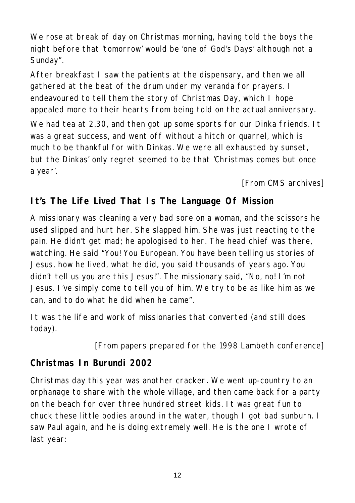We rose at break of day on Christmas morning, having told the boys the night before that 'tomorrow' would be 'one of God's Days' although not a Sunday".

After breakfast I saw the patients at the dispensary, and then we all gathered at the beat of the drum under my veranda for prayers. I endeavoured to tell them the story of Christmas Day, which I hope appealed more to their hearts from being told on the actual anniversary.

We had tea at 2.30, and then got up some sports for our Dinka friends. It was a great success, and went off without a hitch or quarrel, which is much to be thankful for with Dinkas. We were all exhausted by sunset, but the Dinkas' only regret seemed to be that 'Christmas comes but once a year'.

*[From CMS archives]*

# **It's The Life Lived That Is The Language Of Mission**

A missionary was cleaning a very bad sore on a woman, and the scissors he used slipped and hurt her. She slapped him. She was just reacting to the pain. He didn't get mad; he apologised to her. The head chief was there, watching. He said "You! You European. You have been telling us stories of Jesus, how he lived, what he did, you said thousands of years ago. You didn't tell us you are this Jesus!". The missionary said, "No, no! I'm not Jesus. I've simply come to tell you of him. We try to be as like him as we can, and to do what he did when he came".

It was the life and work of missionaries that converted (and still does today).

*[From papers prepared for the 1998 Lambeth conference]*

# **Christmas In Burundi 2002**

Christmas day this year was another cracker. We went up-country to an orphanage to share with the whole village, and then came back for a party on the beach for over three hundred street kids. It was great fun to chuck these little bodies around in the water, though I got bad sunburn. I saw Paul again, and he is doing extremely well. He is the one I wrote of last year: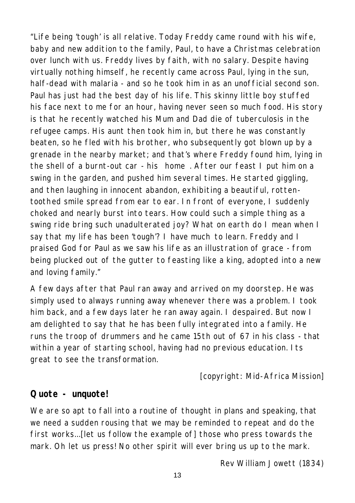"Life being 'tough' is all relative. Today Freddy came round with his wife, baby and new addition to the family, Paul, to have a Christmas celebration over lunch with us. Freddy lives by faith, with no salary. Despite having virtually nothing himself, he recently came across Paul, lying in the sun, half-dead with malaria - and so he took him in as an unofficial second son. Paul has just had the best day of his life. This skinny little boy stuffed his face next to me for an hour, having never seen so much food. His story is that he recently watched his Mum and Dad die of tuberculosis in the refugee camps. His aunt then took him in, but there he was constantly beaten, so he fled with his brother, who subsequently got blown up by a grenade in the nearby market; and that's where Freddy found him, lying in the shell of a burnt-out car - his home. After our feast I put him on a swing in the garden, and pushed him several times. He started giggling, and then laughing in innocent abandon, exhibiting a beautiful, rottentoothed smile spread from ear to ear. In front of everyone, I suddenly choked and nearly burst into tears. How could such a simple thing as a swing ride bring such unadulterated joy? What on earth do I mean when I say that my life has been 'tough'? I have much to learn. Freddy and I praised God for Paul as we saw his life as an illustration of grace - from being plucked out of the gutter to feasting like a king, adopted into a new and loving family."

A few days after that Paul ran away and arrived on my doorstep. He was simply used to always running away whenever there was a problem. I took him back, and a few days later he ran away again. I despaired. But now I am delighted to say that he has been fully integrated into a family. He runs the troop of drummers and he came 15th out of 67 in his class - that within a year of starting school, having had no previous education. Its great to see the transformation.

*[copyright: Mid-Africa Mission]* 

#### **Quote - unquote!**

We are so apt to fall into a routine of thought in plans and speaking, that we need a sudden rousing that we may be reminded to repeat and do the first works...[let us follow the example of] those who press towards the mark. Oh let us press! No other spirit will ever bring us up to the mark.

*Rev William Jowett (1834)*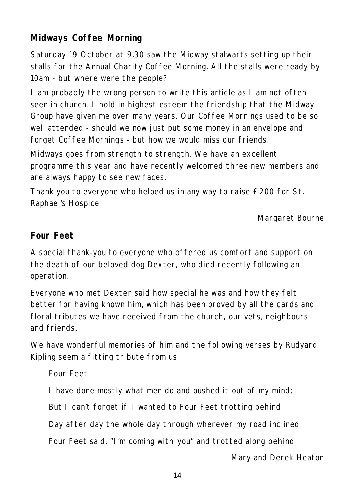# **Midways Coffee Morning**

Saturday 19 October at 9.30 saw the Midway stalwarts setting up their stalls for the Annual Charity Coffee Morning. All the stalls were ready by 10am - but where were the people?

I am probably the wrong person to write this article as I am not often seen in church. I hold in highest esteem the friendship that the Midway Group have given me over many years. Our Coffee Mornings used to be so well attended - should we now just put some money in an envelope and forget Coffee Mornings - but how we would miss our friends.

Midways goes from strength to strength. We have an excellent programme this year and have recently welcomed three new members and are always happy to see new faces.

Thank you to everyone who helped us in any way to raise £200 for St. Raphael's Hospice

*Margaret Bourne*

# **Four Feet**

A special thank-you to everyone who offered us comfort and support on the death of our beloved dog Dexter, who died recently following an operation.

Everyone who met Dexter said how special he was and how they felt better for having known him, which has been proved by all the cards and floral tributes we have received from the church, our vets, neighbours and friends.

We have wonderful memories of him and the following verses by Rudyard Kipling seem a fitting tribute from us

*Four Feet I have done mostly what men do and pushed it out of my mind; But I can't forget if I wanted to Four Feet trotting behind Day after day the whole day through wherever my road inclined Four Feet said, "I'm coming with you" and trotted along behind*

*Mary and Derek Heaton*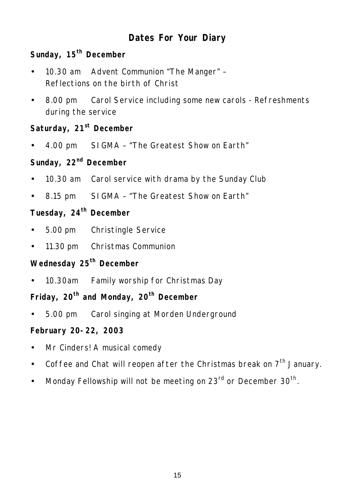# **Dates For Your Diary**

### **Sunday, 15th December**

- 10.30 am Advent Communion "The Manger" Reflections on the birth of Christ
- 8.00 pm Carol Service including some new carols Refreshments during the service

#### **Saturday, 21st December**

• 4.00 pm SIGMA – "The Greatest Show on Earth"

### **Sunday, 22nd December**

- 10.30 am Carol service with drama by the Sunday Club
- 8.15 pm SIGMA "The Greatest Show on Earth"

# **Tuesday, 24th December**

- 5.00 pm Christingle Service
- 11.30 pm Christmas Communion

## **Wednesday 25th December**

• 10.30am Family worship for Christmas Day

# **Friday, 20th and Monday, 20th December**

• 5.00 pm Carol singing at Morden Underground

#### **February 20-22, 2003**

- Mr Cinders! A musical comedy
- Coffee and Chat will reopen after the Christmas break on  $7<sup>th</sup>$  January.
- Monday Fellowship will not be meeting on 23 $^{\text{rd}}$  or December 30<sup>th</sup>.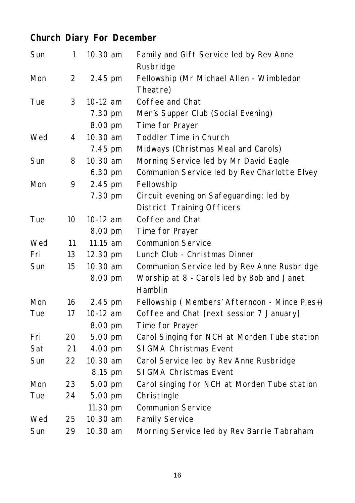# **Church Diary For December**

| Sun | 1               | 10.30 am   | Family and Gift Service led by Rev Anne<br>Rusbridge |
|-----|-----------------|------------|------------------------------------------------------|
| Mon | 2               | 2.45 pm    | Fellowship (Mr Michael Allen - Wimbledon             |
|     |                 |            | Theatre)                                             |
| Tue | 3               | $10-12$ am | Coffee and Chat                                      |
|     |                 | 7.30 pm    | Men's Supper Club (Social Evening)                   |
|     |                 | 8.00 pm    | Time for Prayer                                      |
| Wed | 4               | 10.30 am   | Toddler Time in Church                               |
|     |                 | 7.45 pm    | Midways (Christmas Meal and Carols)                  |
| Sun | 8               | 10.30 am   | Morning Service led by Mr David Eagle                |
|     |                 | 6.30 pm    | Communion Service led by Rev Charlotte Elvey         |
| Mon | 9               | 2.45 pm    | Fellowship                                           |
|     |                 | 7.30 pm    | Circuit evening on Safeguarding: led by              |
|     |                 |            | <b>District Training Officers</b>                    |
| Tue | 10 <sup>°</sup> | 10-12 am   | Coffee and Chat                                      |
|     |                 | 8.00 pm    | Time for Prayer                                      |
| Wed | 11              | 11.15 am   | <b>Communion Service</b>                             |
| Fri | 13              | 12.30 pm   | Lunch Club - Christmas Dinner                        |
| Sun | 15              | 10.30 am   | Communion Service led by Rev Anne Rusbridge          |
|     |                 | 8.00 pm    | Worship at 8 - Carols led by Bob and Janet           |
|     |                 |            | Hamblin                                              |
| Mon | 16              | 2.45 pm    | Fellowship (Members' Afternoon - Mince Pies+)        |
| Tue | 17              | 10-12 am   | Coffee and Chat [next session 7 January]             |
|     |                 | 8.00 pm    | Time for Prayer                                      |
| Fri | 20              | 5.00 pm    | Carol Singing for NCH at Morden Tube station         |
| Sat | 21              | 4.00 pm    | SI GMA Christmas Event                               |
| Sun | 22              | 10.30 am   | Carol Service led by Rev Anne Rusbridge              |
|     |                 | 8.15 pm    | SI GMA Christmas Event                               |
| Mon | 23              | 5.00 pm    | Carol singing for NCH at Morden Tube station         |
| Tue | 24              | 5.00 pm    | Christingle                                          |
|     |                 | 11.30 pm   | <b>Communion Service</b>                             |
| Wed | 25              | 10.30 am   | <b>Family Service</b>                                |
| Sun | 29              | 10.30 am   | Morning Service led by Rev Barrie Tabraham           |